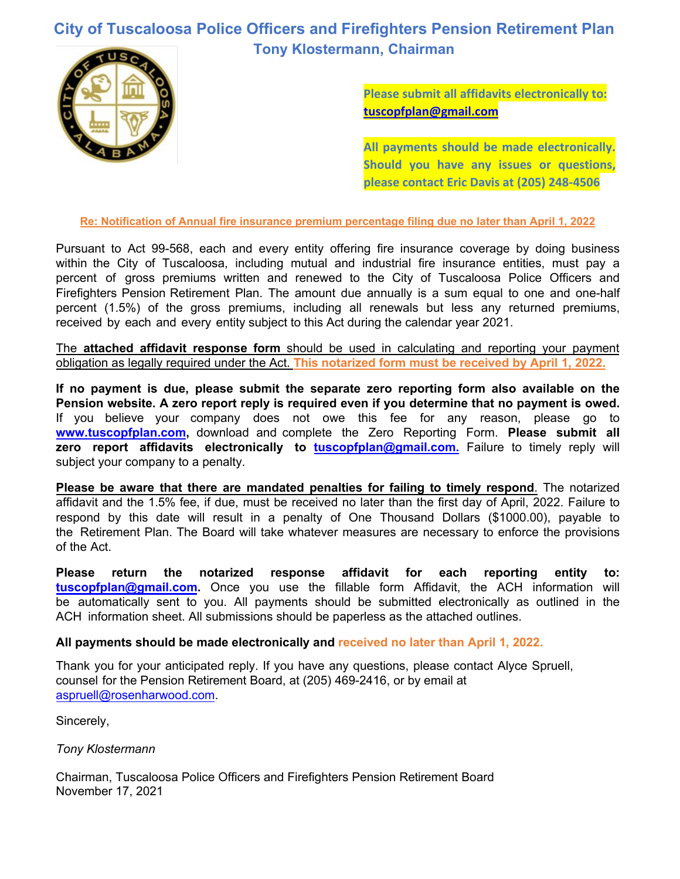## **City of Tuscaloosa Police Officers and Firefighters Pension Retirement Plan Tony Klostermann, Chairman**



**Please submit all affidavits electronically to: [tuscopfplan@gmail.com](mailto:tuscopfplan@gmail.com)**

**All payments should be made electronically. Should you have any issues or questions, please contact Eric Davis at (205) 248-4506**

**Re: Notification of Annual fire insurance premium percentage filing due no later than April 1, 2022** 

Pursuant to Act 99-568, each and every entity offering fire insurance coverage by doing business within the City of Tuscaloosa, including mutual and industrial fire insurance entities, must pay a percent of gross premiums written and renewed to the City of Tuscaloosa Police Officers and Firefighters Pension Retirement Plan. The amount due annually is a sum equal to one and one-half percent (1.5%) of the gross premiums, including all renewals but less any returned premiums, received by each and every entity subject to this Act during the calendar year 2021.

The **attached affidavit response form** should be used in calculating and reporting your payment obligation as legally required under the Act. **This notarized form must be received by April 1, 2022.**

**If no payment is due, please submit the separate zero reporting form also available on the Pension website. A zero report reply is required even if you determine that no payment is owed.**  If you believe your company does not owe this fee for any reason, please go to **www.tuscopfplan.com,** download and complete the Zero Re[porting Form.](mailto:tuscopfplan@gmail.com) **Please submit all zero report affidavits electronically to <b>tuscopfplan@gmail.com**. Failure to timely reply will subject your company to a penalty.

**Please be aware that there are mandated penalties for failing to timely respond**. The notarized affidavit and the 1.5% fee, if due, must be received no later than the first day of April, 2022. Failure to respond by this date will result in a penalty of One Thousand Dollars (\$1000.00), payable to the Retirement Plan. The Board will take whatever measures are necessary to enforce the provisions of the Act.

**[Please return the](mailto:tuscopfplan@gmail.com) notarized response affidavit for each reporting entity to: tuscopfplan@gmail.com.** Once you use the fillable form Affidavit, the ACH information will be automatically sent to you. All payments should be submitted electronically as outlined in the ACH information sheet. All submissions should be paperless as the attached outlines.

## **All payments should be made electronically and received no later than April 1, 2022.**

Thank you for your anticipated reply. If you have any questions, please contact Alyce Spruell, counsel for the Pension Retirement Board, at (205) 469-2416, or by email at [aspruell@rosenharwood.com.](mailto:aspruell@rosenharwood.com)

Sincerely,

*Tony Klostermann*

Chairman, Tuscaloosa Police Officers and Firefighters Pension Retirement Board November 17, 2021